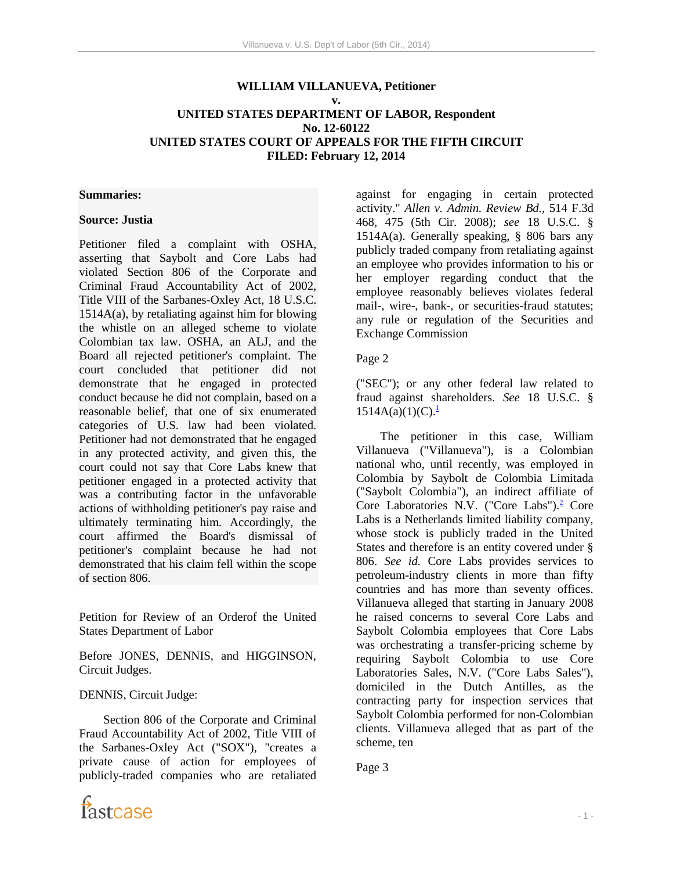# **WILLIAM VILLANUEVA, Petitioner v. UNITED STATES DEPARTMENT OF LABOR, Respondent No. 12-60122 UNITED STATES COURT OF APPEALS FOR THE FIFTH CIRCUIT**

**FILED: February 12, 2014**

#### **Summaries:**

#### **Source: Justia**

Petitioner filed a complaint with OSHA, asserting that Saybolt and Core Labs had violated Section 806 of the Corporate and Criminal Fraud Accountability Act of 2002, Title VIII of the Sarbanes-Oxley Act, 18 U.S.C. 1514A(a), by retaliating against him for blowing the whistle on an alleged scheme to violate Colombian tax law. OSHA, an ALJ, and the Board all rejected petitioner's complaint. The court concluded that petitioner did not demonstrate that he engaged in protected conduct because he did not complain, based on a reasonable belief, that one of six enumerated categories of U.S. law had been violated. Petitioner had not demonstrated that he engaged in any protected activity, and given this, the court could not say that Core Labs knew that petitioner engaged in a protected activity that was a contributing factor in the unfavorable actions of withholding petitioner's pay raise and ultimately terminating him. Accordingly, the court affirmed the Board's dismissal of petitioner's complaint because he had not demonstrated that his claim fell within the scope of section 806.

Petition for Review of an Orderof the United States Department of Labor

Before JONES, DENNIS, and HIGGINSON, Circuit Judges.

#### DENNIS, Circuit Judge:

 Section 806 of the Corporate and Criminal Fraud Accountability Act of 2002, Title VIII of the Sarbanes-Oxley Act ("SOX"), "creates a private cause of action for employees of publicly-traded companies who are retaliated against for engaging in certain protected activity." *Allen v. Admin. Review Bd.,* 514 F.3d 468, 475 (5th Cir. 2008); *see* 18 U.S.C. § 1514A(a). Generally speaking, § 806 bars any publicly traded company from retaliating against an employee who provides information to his or her employer regarding conduct that the employee reasonably believes violates federal mail-, wire-, bank-, or securities-fraud statutes; any rule or regulation of the Securities and Exchange Commission

#### Page 2

("SEC"); or any other federal law related to fraud against shareholders. *See* 18 U.S.C. §  $1514A(a)(1)(C).<sup>1</sup>$ 

 The petitioner in this case, William Villanueva ("Villanueva"), is a Colombian national who, until recently, was employed in Colombia by Saybolt de Colombia Limitada ("Saybolt Colombia"), an indirect affiliate of Core Laboratories N.V. ("Core Labs").<sup>2</sup> Core Labs is a Netherlands limited liability company, whose stock is publicly traded in the United States and therefore is an entity covered under § 806. *See id.* Core Labs provides services to petroleum-industry clients in more than fifty countries and has more than seventy offices. Villanueva alleged that starting in January 2008 he raised concerns to several Core Labs and Saybolt Colombia employees that Core Labs was orchestrating a transfer-pricing scheme by requiring Saybolt Colombia to use Core Laboratories Sales, N.V. ("Core Labs Sales"), domiciled in the Dutch Antilles, as the contracting party for inspection services that Saybolt Colombia performed for non-Colombian clients. Villanueva alleged that as part of the scheme, ten

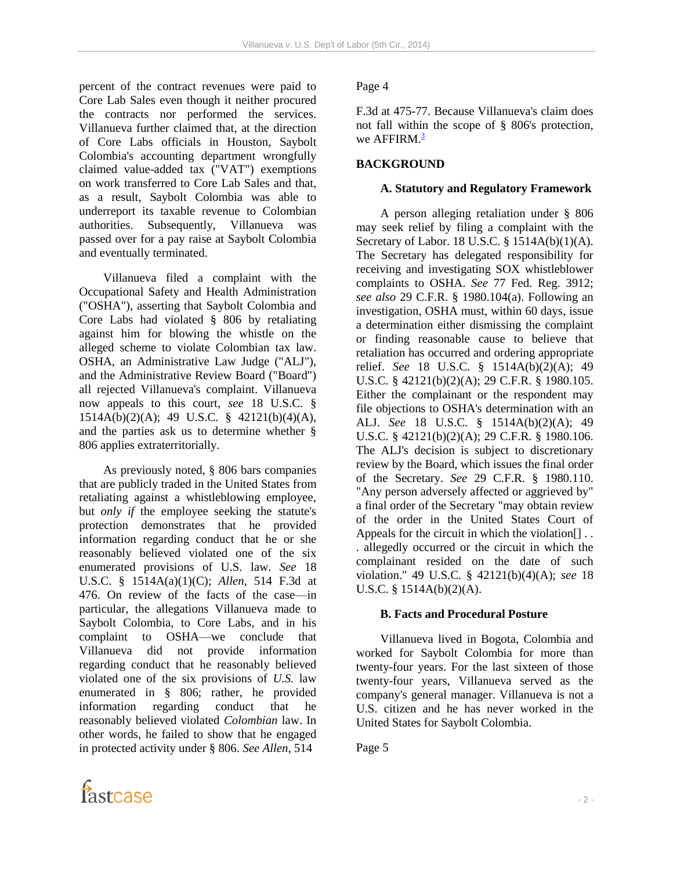percent of the contract revenues were paid to Core Lab Sales even though it neither procured the contracts nor performed the services. Villanueva further claimed that, at the direction of Core Labs officials in Houston, Saybolt Colombia's accounting department wrongfully claimed value-added tax ("VAT") exemptions on work transferred to Core Lab Sales and that, as a result, Saybolt Colombia was able to underreport its taxable revenue to Colombian authorities. Subsequently, Villanueva was passed over for a pay raise at Saybolt Colombia and eventually terminated.

 Villanueva filed a complaint with the Occupational Safety and Health Administration ("OSHA"), asserting that Saybolt Colombia and Core Labs had violated § 806 by retaliating against him for blowing the whistle on the alleged scheme to violate Colombian tax law. OSHA, an Administrative Law Judge ("ALJ"), and the Administrative Review Board ("Board") all rejected Villanueva's complaint. Villanueva now appeals to this court, *see* 18 U.S.C. § 1514A(b)(2)(A); 49 U.S.C. § 42121(b)(4)(A), and the parties ask us to determine whether § 806 applies extraterritorially.

 As previously noted, § 806 bars companies that are publicly traded in the United States from retaliating against a whistleblowing employee, but *only if* the employee seeking the statute's protection demonstrates that he provided information regarding conduct that he or she reasonably believed violated one of the six enumerated provisions of U.S. law. *See* 18 U.S.C. § 1514A(a)(1)(C); *Allen,* 514 F.3d at 476. On review of the facts of the case—in particular, the allegations Villanueva made to Saybolt Colombia, to Core Labs, and in his complaint to OSHA—we conclude that Villanueva did not provide information regarding conduct that he reasonably believed violated one of the six provisions of *U.S.* law enumerated in § 806; rather, he provided information regarding conduct that he reasonably believed violated *Colombian* law. In other words, he failed to show that he engaged in protected activity under § 806. *See Allen,* 514

### Page 4

F.3d at 475-77. Because Villanueva's claim does not fall within the scope of § 806's protection, we AFFIRM. $3$ 

## **BACKGROUND**

#### **A. Statutory and Regulatory Framework**

 A person alleging retaliation under § 806 may seek relief by filing a complaint with the Secretary of Labor. 18 U.S.C. § 1514A(b)(1)(A). The Secretary has delegated responsibility for receiving and investigating SOX whistleblower complaints to OSHA. *See* 77 Fed. Reg. 3912; *see also* 29 C.F.R. § 1980.104(a). Following an investigation, OSHA must, within 60 days, issue a determination either dismissing the complaint or finding reasonable cause to believe that retaliation has occurred and ordering appropriate relief. *See* 18 U.S.C. § 1514A(b)(2)(A); 49 U.S.C. § 42121(b)(2)(A); 29 C.F.R. § 1980.105. Either the complainant or the respondent may file objections to OSHA's determination with an ALJ. *See* 18 U.S.C. § 1514A(b)(2)(A); 49 U.S.C. § 42121(b)(2)(A); 29 C.F.R. § 1980.106. The ALJ's decision is subject to discretionary review by the Board, which issues the final order of the Secretary. *See* 29 C.F.R. § 1980.110. "Any person adversely affected or aggrieved by" a final order of the Secretary "may obtain review of the order in the United States Court of Appeals for the circuit in which the violation. . allegedly occurred or the circuit in which the complainant resided on the date of such violation." 49 U.S.C. § 42121(b)(4)(A); *see* 18 U.S.C. § 1514A(b)(2)(A).

### **B. Facts and Procedural Posture**

 Villanueva lived in Bogota, Colombia and worked for Saybolt Colombia for more than twenty-four years. For the last sixteen of those twenty-four years, Villanueva served as the company's general manager. Villanueva is not a U.S. citizen and he has never worked in the United States for Saybolt Colombia.

Page 5

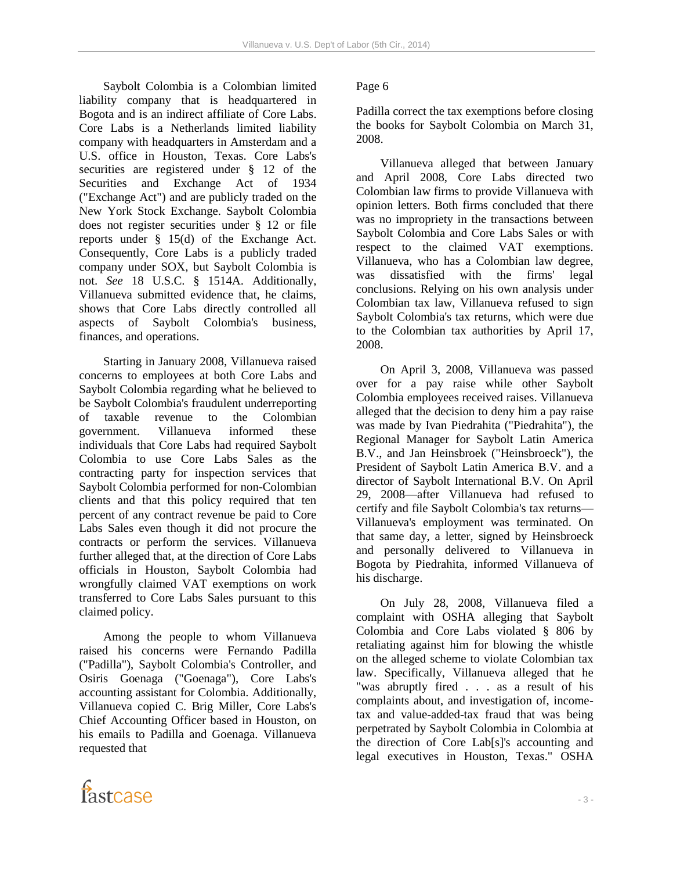Saybolt Colombia is a Colombian limited liability company that is headquartered in Bogota and is an indirect affiliate of Core Labs. Core Labs is a Netherlands limited liability company with headquarters in Amsterdam and a U.S. office in Houston, Texas. Core Labs's securities are registered under § 12 of the Securities and Exchange Act of 1934 ("Exchange Act") and are publicly traded on the New York Stock Exchange. Saybolt Colombia does not register securities under § 12 or file reports under § 15(d) of the Exchange Act. Consequently, Core Labs is a publicly traded company under SOX, but Saybolt Colombia is not. *See* 18 U.S.C. § 1514A. Additionally, Villanueva submitted evidence that, he claims, shows that Core Labs directly controlled all aspects of Saybolt Colombia's business, finances, and operations.

 Starting in January 2008, Villanueva raised concerns to employees at both Core Labs and Saybolt Colombia regarding what he believed to be Saybolt Colombia's fraudulent underreporting of taxable revenue to the Colombian government. Villanueva informed these individuals that Core Labs had required Saybolt Colombia to use Core Labs Sales as the contracting party for inspection services that Saybolt Colombia performed for non-Colombian clients and that this policy required that ten percent of any contract revenue be paid to Core Labs Sales even though it did not procure the contracts or perform the services. Villanueva further alleged that, at the direction of Core Labs officials in Houston, Saybolt Colombia had wrongfully claimed VAT exemptions on work transferred to Core Labs Sales pursuant to this claimed policy.

 Among the people to whom Villanueva raised his concerns were Fernando Padilla ("Padilla"), Saybolt Colombia's Controller, and Osiris Goenaga ("Goenaga"), Core Labs's accounting assistant for Colombia. Additionally, Villanueva copied C. Brig Miller, Core Labs's Chief Accounting Officer based in Houston, on his emails to Padilla and Goenaga. Villanueva requested that

# Page 6

Padilla correct the tax exemptions before closing the books for Saybolt Colombia on March 31, 2008.

 Villanueva alleged that between January and April 2008, Core Labs directed two Colombian law firms to provide Villanueva with opinion letters. Both firms concluded that there was no impropriety in the transactions between Saybolt Colombia and Core Labs Sales or with respect to the claimed VAT exemptions. Villanueva, who has a Colombian law degree, was dissatisfied with the firms' legal conclusions. Relying on his own analysis under Colombian tax law, Villanueva refused to sign Saybolt Colombia's tax returns, which were due to the Colombian tax authorities by April 17, 2008.

 On April 3, 2008, Villanueva was passed over for a pay raise while other Saybolt Colombia employees received raises. Villanueva alleged that the decision to deny him a pay raise was made by Ivan Piedrahita ("Piedrahita"), the Regional Manager for Saybolt Latin America B.V., and Jan Heinsbroek ("Heinsbroeck"), the President of Saybolt Latin America B.V. and a director of Saybolt International B.V. On April 29, 2008—after Villanueva had refused to certify and file Saybolt Colombia's tax returns— Villanueva's employment was terminated. On that same day, a letter, signed by Heinsbroeck and personally delivered to Villanueva in Bogota by Piedrahita, informed Villanueva of his discharge.

 On July 28, 2008, Villanueva filed a complaint with OSHA alleging that Saybolt Colombia and Core Labs violated § 806 by retaliating against him for blowing the whistle on the alleged scheme to violate Colombian tax law. Specifically, Villanueva alleged that he "was abruptly fired . . . as a result of his complaints about, and investigation of, incometax and value-added-tax fraud that was being perpetrated by Saybolt Colombia in Colombia at the direction of Core Lab[s]'s accounting and legal executives in Houston, Texas." OSHA

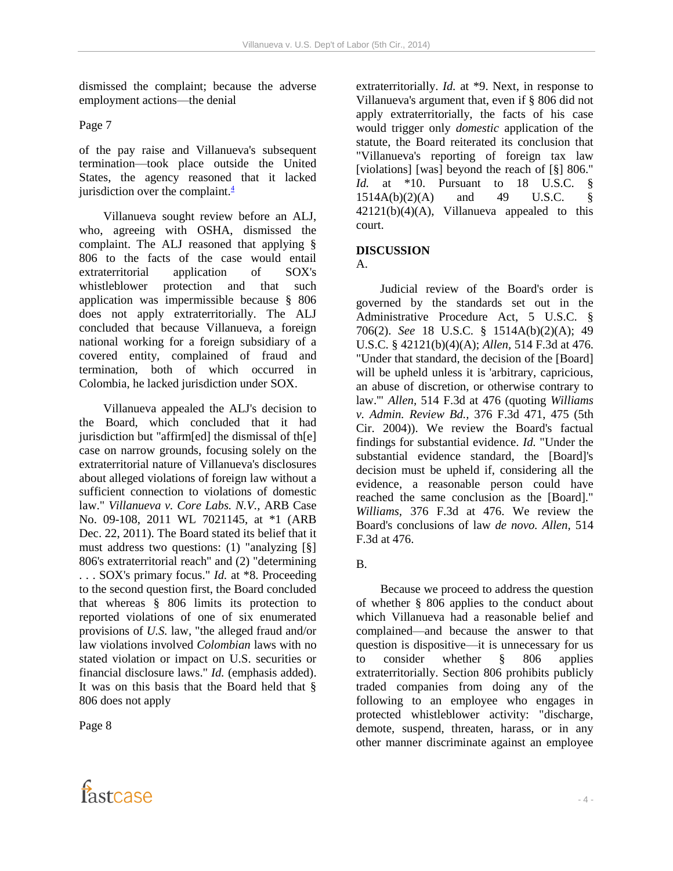dismissed the complaint; because the adverse employment actions—the denial

Page 7

of the pay raise and Villanueva's subsequent termination—took place outside the United States, the agency reasoned that it lacked jurisdiction over the complaint. $\frac{4}{3}$ 

 Villanueva sought review before an ALJ, who, agreeing with OSHA, dismissed the complaint. The ALJ reasoned that applying § 806 to the facts of the case would entail extraterritorial application of SOX's whistleblower protection and that such application was impermissible because § 806 does not apply extraterritorially. The ALJ concluded that because Villanueva, a foreign national working for a foreign subsidiary of a covered entity, complained of fraud and termination, both of which occurred in Colombia, he lacked jurisdiction under SOX.

 Villanueva appealed the ALJ's decision to the Board, which concluded that it had jurisdiction but "affirm[ed] the dismissal of th[e] case on narrow grounds, focusing solely on the extraterritorial nature of Villanueva's disclosures about alleged violations of foreign law without a sufficient connection to violations of domestic law." *Villanueva v. Core Labs. N.V.,* ARB Case No. 09-108, 2011 WL 7021145, at \*1 (ARB Dec. 22, 2011). The Board stated its belief that it must address two questions: (1) "analyzing [§] 806's extraterritorial reach" and (2) "determining . . . SOX's primary focus." *Id.* at \*8. Proceeding to the second question first, the Board concluded that whereas § 806 limits its protection to reported violations of one of six enumerated provisions of *U.S.* law, "the alleged fraud and/or law violations involved *Colombian* laws with no stated violation or impact on U.S. securities or financial disclosure laws." *Id.* (emphasis added). It was on this basis that the Board held that § 806 does not apply

Page 8

fastcase

extraterritorially. *Id.* at \*9. Next, in response to Villanueva's argument that, even if § 806 did not apply extraterritorially, the facts of his case would trigger only *domestic* application of the statute, the Board reiterated its conclusion that "Villanueva's reporting of foreign tax law [violations] [was] beyond the reach of [§] 806." *Id.* at \*10. Pursuant to 18 U.S.C. § 1514A(b)(2)(A) and 49 U.S.C. §  $42121(b)(4)(A)$ , Villanueva appealed to this court.

# **DISCUSSION**

 $A<sub>1</sub>$ 

 Judicial review of the Board's order is governed by the standards set out in the Administrative Procedure Act, 5 U.S.C. § 706(2). *See* 18 U.S.C. § 1514A(b)(2)(A); 49 U.S.C. § 42121(b)(4)(A); *Allen,* 514 F.3d at 476. "Under that standard, the decision of the [Board] will be upheld unless it is 'arbitrary, capricious, an abuse of discretion, or otherwise contrary to law.'" *Allen,* 514 F.3d at 476 (quoting *Williams v. Admin. Review Bd.,* 376 F.3d 471, 475 (5th Cir. 2004)). We review the Board's factual findings for substantial evidence. *Id.* "Under the substantial evidence standard, the [Board]'s decision must be upheld if, considering all the evidence, a reasonable person could have reached the same conclusion as the [Board]." *Williams,* 376 F.3d at 476. We review the Board's conclusions of law *de novo. Allen,* 514 F.3d at 476.

B.

 Because we proceed to address the question of whether § 806 applies to the conduct about which Villanueva had a reasonable belief and complained—and because the answer to that question is dispositive—it is unnecessary for us to consider whether § 806 applies extraterritorially. Section 806 prohibits publicly traded companies from doing any of the following to an employee who engages in protected whistleblower activity: "discharge, demote, suspend, threaten, harass, or in any other manner discriminate against an employee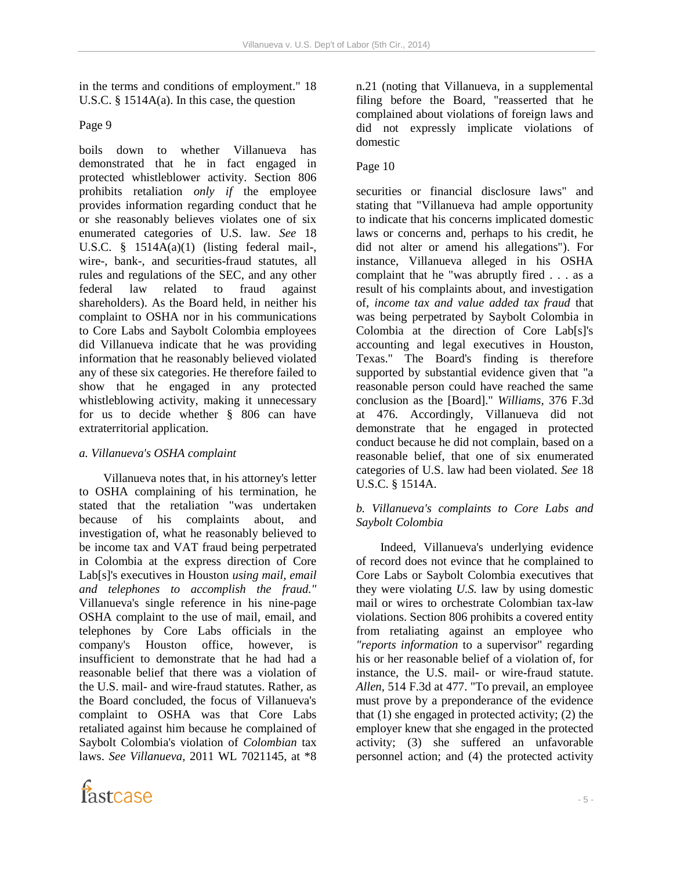in the terms and conditions of employment." 18 U.S.C. § 1514A(a). In this case, the question

Page 9

boils down to whether Villanueva has demonstrated that he in fact engaged in protected whistleblower activity. Section 806 prohibits retaliation *only if* the employee provides information regarding conduct that he or she reasonably believes violates one of six enumerated categories of U.S. law. *See* 18 U.S.C. § 1514A(a)(1) (listing federal mail-, wire-, bank-, and securities-fraud statutes, all rules and regulations of the SEC, and any other federal law related to fraud against shareholders). As the Board held, in neither his complaint to OSHA nor in his communications to Core Labs and Saybolt Colombia employees did Villanueva indicate that he was providing information that he reasonably believed violated any of these six categories. He therefore failed to show that he engaged in any protected whistleblowing activity, making it unnecessary for us to decide whether § 806 can have extraterritorial application.

# *a. Villanueva's OSHA complaint*

 Villanueva notes that, in his attorney's letter to OSHA complaining of his termination, he stated that the retaliation "was undertaken because of his complaints about, and investigation of, what he reasonably believed to be income tax and VAT fraud being perpetrated in Colombia at the express direction of Core Lab[s]'s executives in Houston *using mail, email and telephones to accomplish the fraud."*  Villanueva's single reference in his nine-page OSHA complaint to the use of mail, email, and telephones by Core Labs officials in the company's Houston office, however, is insufficient to demonstrate that he had had a reasonable belief that there was a violation of the U.S. mail- and wire-fraud statutes. Rather, as the Board concluded, the focus of Villanueva's complaint to OSHA was that Core Labs retaliated against him because he complained of Saybolt Colombia's violation of *Colombian* tax laws. *See Villanueva,* 2011 WL 7021145, at \*8



n.21 (noting that Villanueva, in a supplemental filing before the Board, "reasserted that he complained about violations of foreign laws and did not expressly implicate violations of domestic

## Page 10

securities or financial disclosure laws" and stating that "Villanueva had ample opportunity to indicate that his concerns implicated domestic laws or concerns and, perhaps to his credit, he did not alter or amend his allegations"). For instance, Villanueva alleged in his OSHA complaint that he "was abruptly fired . . . as a result of his complaints about, and investigation of, *income tax and value added tax fraud* that was being perpetrated by Saybolt Colombia in Colombia at the direction of Core Lab[s]'s accounting and legal executives in Houston, Texas." The Board's finding is therefore supported by substantial evidence given that "a reasonable person could have reached the same conclusion as the [Board]." *Williams,* 376 F.3d at 476. Accordingly, Villanueva did not demonstrate that he engaged in protected conduct because he did not complain, based on a reasonable belief, that one of six enumerated categories of U.S. law had been violated. *See* 18 U.S.C. § 1514A.

## *b. Villanueva's complaints to Core Labs and Saybolt Colombia*

 Indeed, Villanueva's underlying evidence of record does not evince that he complained to Core Labs or Saybolt Colombia executives that they were violating *U.S.* law by using domestic mail or wires to orchestrate Colombian tax-law violations. Section 806 prohibits a covered entity from retaliating against an employee who *"reports information* to a supervisor" regarding his or her reasonable belief of a violation of, for instance, the U.S. mail- or wire-fraud statute. *Allen,* 514 F.3d at 477. "To prevail, an employee must prove by a preponderance of the evidence that (1) she engaged in protected activity; (2) the employer knew that she engaged in the protected activity; (3) she suffered an unfavorable personnel action; and (4) the protected activity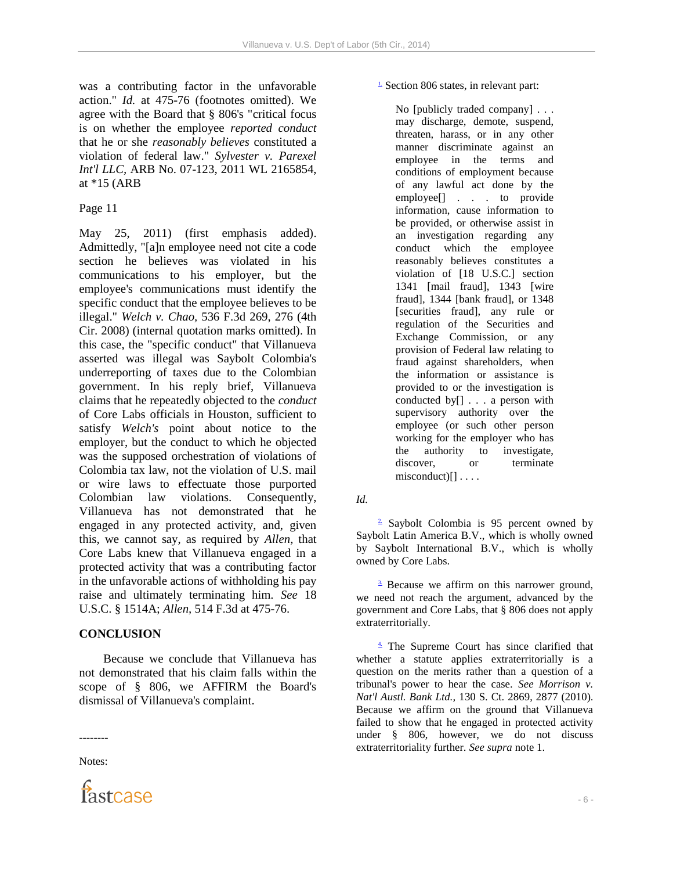was a contributing factor in the unfavorable action." *Id.* at 475-76 (footnotes omitted). We agree with the Board that § 806's "critical focus is on whether the employee *reported conduct*  that he or she *reasonably believes* constituted a violation of federal law." *Sylvester v. Parexel Int'l LLC,* ARB No. 07-123, 2011 WL 2165854, at \*15 (ARB

### Page 11

May 25, 2011) (first emphasis added). Admittedly, "[a]n employee need not cite a code section he believes was violated in his communications to his employer, but the employee's communications must identify the specific conduct that the employee believes to be illegal." *Welch v. Chao,* 536 F.3d 269, 276 (4th Cir. 2008) (internal quotation marks omitted). In this case, the "specific conduct" that Villanueva asserted was illegal was Saybolt Colombia's underreporting of taxes due to the Colombian government. In his reply brief, Villanueva claims that he repeatedly objected to the *conduct*  of Core Labs officials in Houston, sufficient to satisfy *Welch's* point about notice to the employer, but the conduct to which he objected was the supposed orchestration of violations of Colombia tax law, not the violation of U.S. mail or wire laws to effectuate those purported Colombian law violations. Consequently, Villanueva has not demonstrated that he engaged in any protected activity, and, given this, we cannot say, as required by *Allen,* that Core Labs knew that Villanueva engaged in a protected activity that was a contributing factor in the unfavorable actions of withholding his pay raise and ultimately terminating him. *See* 18 U.S.C. § 1514A; *Allen,* 514 F.3d at 475-76.

# **CONCLUSION**

 Because we conclude that Villanueva has not demonstrated that his claim falls within the scope of § 806, we AFFIRM the Board's dismissal of Villanueva's complaint.

-------- Notes:



 $\frac{1}{2}$  Section 806 states, in relevant part:

No [publicly traded company] . . . may discharge, demote, suspend, threaten, harass, or in any other manner discriminate against an employee in the terms and conditions of employment because of any lawful act done by the employee[] . . . to provide information, cause information to be provided, or otherwise assist in an investigation regarding any conduct which the employee reasonably believes constitutes a violation of [18 U.S.C.] section 1341 [mail fraud], 1343 [wire fraud], 1344 [bank fraud], or 1348 [securities fraud], any rule or regulation of the Securities and Exchange Commission, or any provision of Federal law relating to fraud against shareholders, when the information or assistance is provided to or the investigation is conducted by[] . . . a person with supervisory authority over the employee (or such other person working for the employer who has the authority to investigate, discover, or terminate  $misconduct)[] \ldots$ .

*Id.*

<sup>2</sup> Saybolt Colombia is 95 percent owned by Saybolt Latin America B.V., which is wholly owned by Saybolt International B.V., which is wholly owned by Core Labs.

 $\frac{3}{2}$  Because we affirm on this narrower ground, we need not reach the argument, advanced by the government and Core Labs, that § 806 does not apply extraterritorially.

4. The Supreme Court has since clarified that whether a statute applies extraterritorially is a question on the merits rather than a question of a tribunal's power to hear the case. *See Morrison v. Nat'l Austl. Bank Ltd.,* 130 S. Ct. 2869, 2877 (2010). Because we affirm on the ground that Villanueva failed to show that he engaged in protected activity under § 806, however, we do not discuss extraterritoriality further. *See supra* note 1.